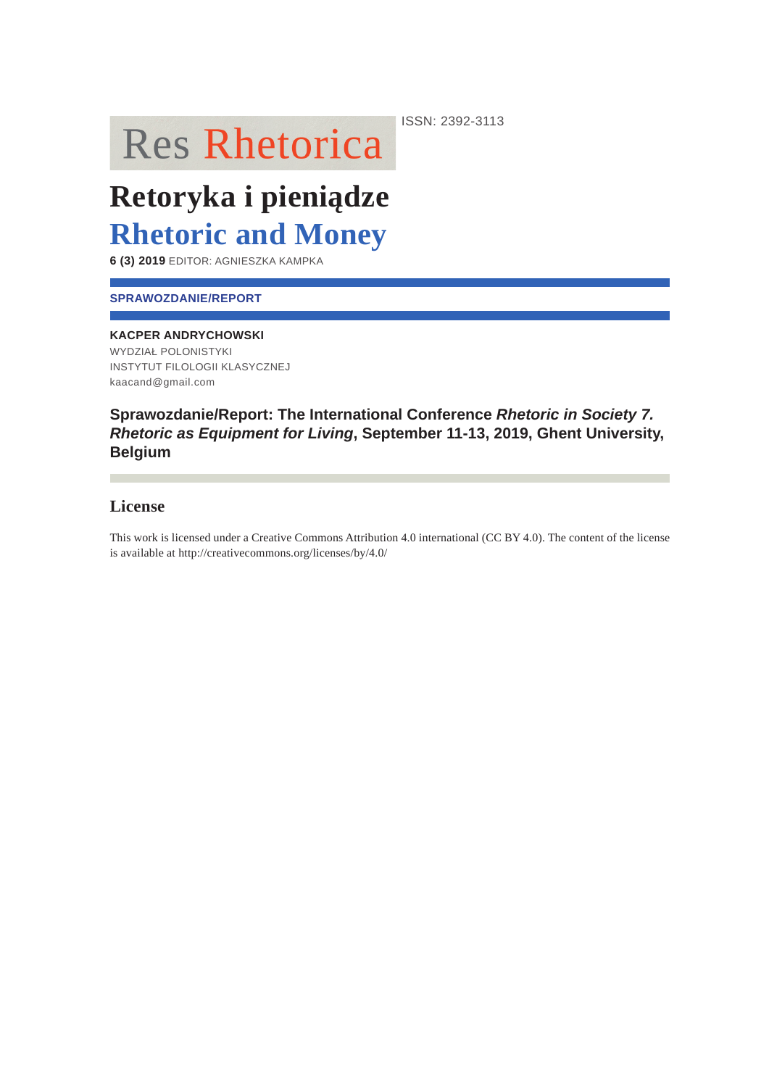**Res Rhetorica** 

Retoryka i pieniądze **Rhetoric and Money** 

6 (3) 2019 EDITOR: AGNIESZKA KAMPKA

### **SPRAWOZDANIE/REPORT**

### **KACPER ANDRYCHOWSKI**

WYDZIAŁ POLONISTYKI **INSTYTUT FILOLOGII KLASYCZNEJ** kaacand@gmail.com

## Sprawozdanie/Report: The International Conference Rhetoric in Society 7. Rhetoric as Equipment for Living, September 11-13, 2019, Ghent University, **Belgium**

## **License**

This work is licensed under a Creative Commons Attribution 4.0 international (CC BY 4.0). The content of the license is available at http://creativecommons.org/licenses/by/4.0/

ISSN: 2392-3113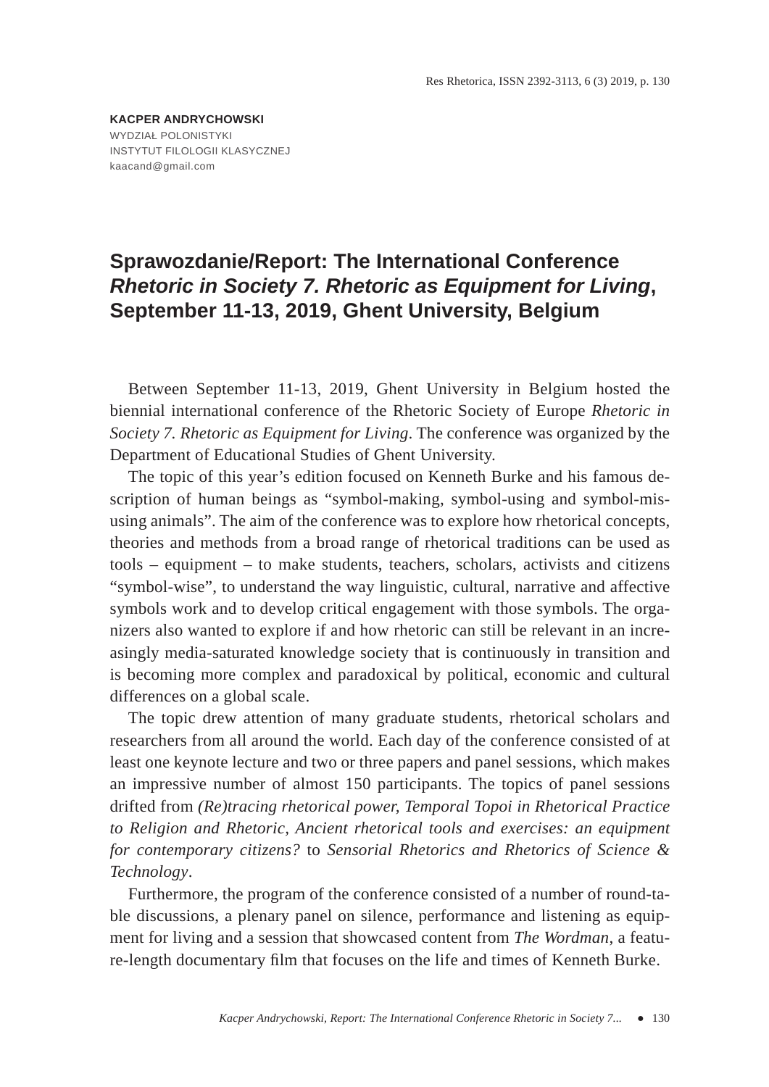**KACPER ANDRYCHOWSKI** WYDZIAŁ POLONISTYKI INSTYTUT FILOLOGII KLASYCZNEJ kaacand@gmail.com

# **Sprawozdanie/Report: The International Conference**  *Rhetoric in Society 7. Rhetoric as Equipment for Living***, September 11-13, 2019, Ghent University, Belgium**

Between September 11-13, 2019, Ghent University in Belgium hosted the biennial international conference of the Rhetoric Society of Europe *Rhetoric in Society 7. Rhetoric as Equipment for Living*. The conference was organized by the Department of Educational Studies of Ghent University.

The topic of this year's edition focused on Kenneth Burke and his famous description of human beings as "symbol-making, symbol-using and symbol-misusing animals". The aim of the conference was to explore how rhetorical concepts, theories and methods from a broad range of rhetorical traditions can be used as tools – equipment – to make students, teachers, scholars, activists and citizens "symbol-wise", to understand the way linguistic, cultural, narrative and affective symbols work and to develop critical engagement with those symbols. The organizers also wanted to explore if and how rhetoric can still be relevant in an increasingly media-saturated knowledge society that is continuously in transition and is becoming more complex and paradoxical by political, economic and cultural differences on a global scale.

The topic drew attention of many graduate students, rhetorical scholars and researchers from all around the world. Each day of the conference consisted of at least one keynote lecture and two or three papers and panel sessions, which makes an impressive number of almost 150 participants. The topics of panel sessions drifted from *(Re)tracing rhetorical power, Temporal Topoi in Rhetorical Practice to Religion and Rhetoric, Ancient rhetorical tools and exercises: an equipment for contemporary citizens?* to *Sensorial Rhetorics and Rhetorics of Science & Technology*.

Furthermore, the program of the conference consisted of a number of round-table discussions, a plenary panel on silence, performance and listening as equipment for living and a session that showcased content from *The Wordman*, a feature-length documentary film that focuses on the life and times of Kenneth Burke.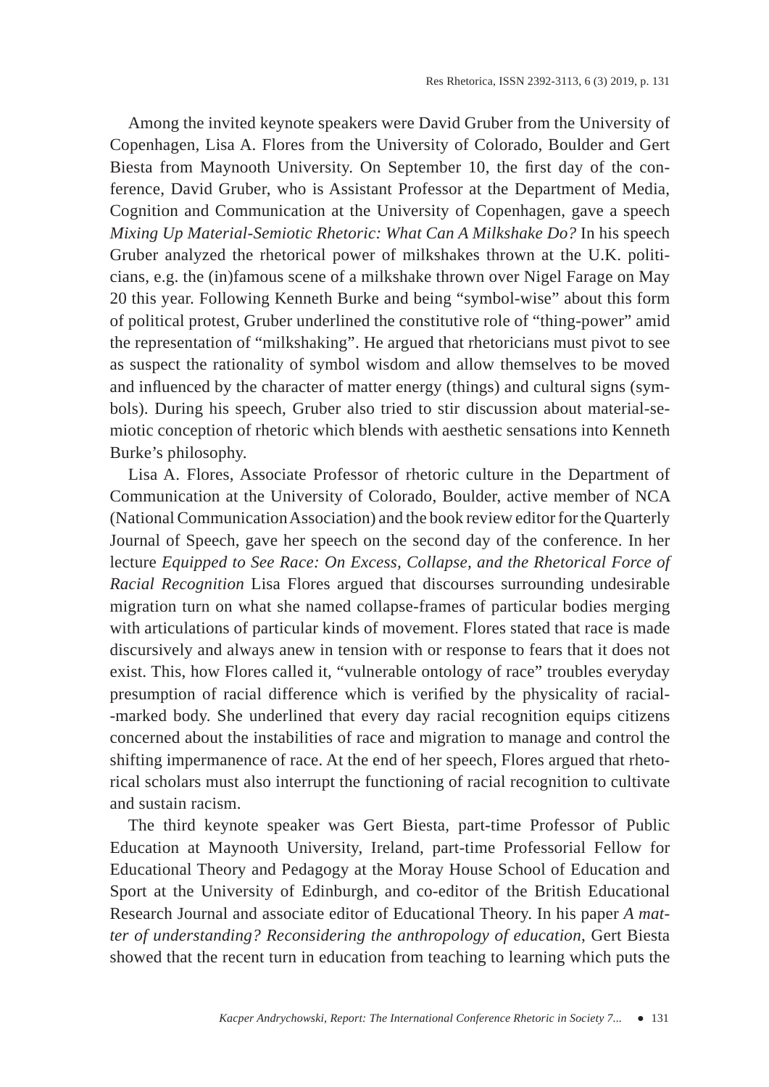Among the invited keynote speakers were David Gruber from the University of Copenhagen, Lisa A. Flores from the University of Colorado, Boulder and Gert Biesta from Maynooth University. On September 10, the first day of the conference, David Gruber, who is Assistant Professor at the Department of Media, Cognition and Communication at the University of Copenhagen, gave a speech *Mixing Up Material-Semiotic Rhetoric: What Can A Milkshake Do?* In his speech Gruber analyzed the rhetorical power of milkshakes thrown at the U.K. politicians, e.g. the (in)famous scene of a milkshake thrown over Nigel Farage on May 20 this year. Following Kenneth Burke and being "symbol-wise" about this form of political protest, Gruber underlined the constitutive role of "thing-power" amid the representation of "milkshaking". He argued that rhetoricians must pivot to see as suspect the rationality of symbol wisdom and allow themselves to be moved and influenced by the character of matter energy (things) and cultural signs (symbols). During his speech, Gruber also tried to stir discussion about material-semiotic conception of rhetoric which blends with aesthetic sensations into Kenneth Burke's philosophy.

Lisa A. Flores, Associate Professor of rhetoric culture in the Department of Communication at the University of Colorado, Boulder, active member of NCA (National Communication Association) and the book review editor for the Quarterly Journal of Speech, gave her speech on the second day of the conference. In her lecture *Equipped to See Race: On Excess, Collapse, and the Rhetorical Force of Racial Recognition* Lisa Flores argued that discourses surrounding undesirable migration turn on what she named collapse-frames of particular bodies merging with articulations of particular kinds of movement. Flores stated that race is made discursively and always anew in tension with or response to fears that it does not exist. This, how Flores called it, "vulnerable ontology of race" troubles everyday presumption of racial difference which is verified by the physicality of racial--marked body. She underlined that every day racial recognition equips citizens concerned about the instabilities of race and migration to manage and control the shifting impermanence of race. At the end of her speech, Flores argued that rhetorical scholars must also interrupt the functioning of racial recognition to cultivate and sustain racism.

The third keynote speaker was Gert Biesta, part-time Professor of Public Education at Maynooth University, Ireland, part-time Professorial Fellow for Educational Theory and Pedagogy at the Moray House School of Education and Sport at the University of Edinburgh, and co-editor of the British Educational Research Journal and associate editor of Educational Theory. In his paper *A matter of understanding? Reconsidering the anthropology of education*, Gert Biesta showed that the recent turn in education from teaching to learning which puts the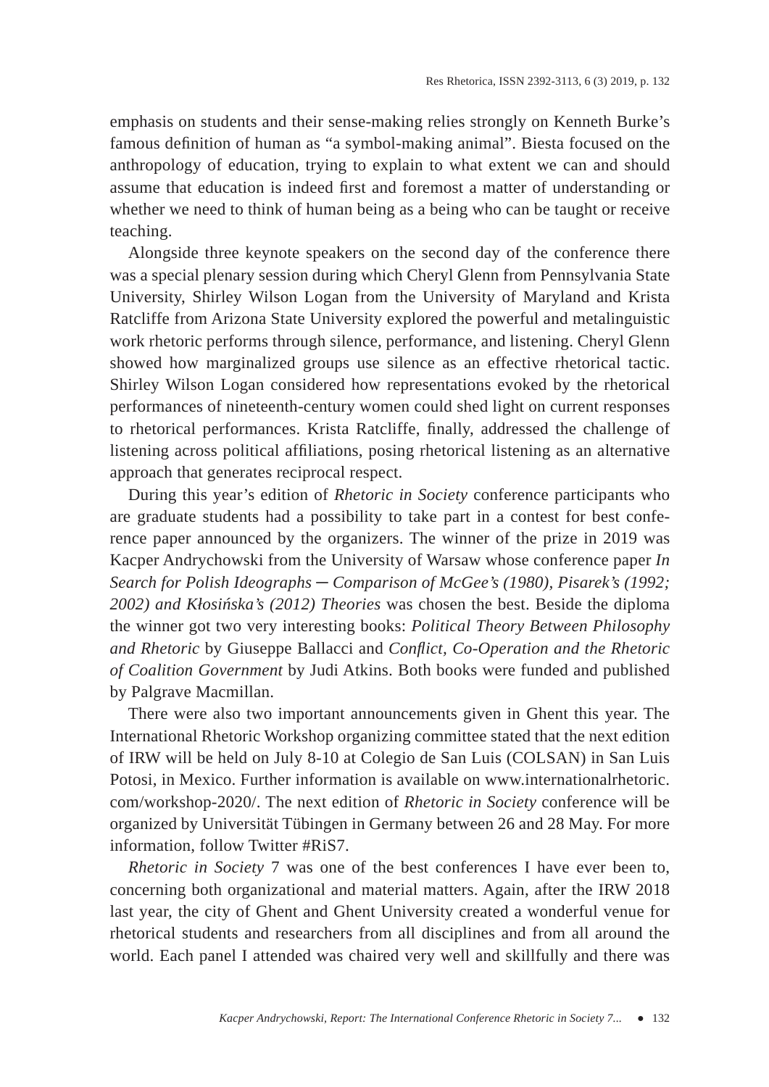emphasis on students and their sense-making relies strongly on Kenneth Burke's famous definition of human as "a symbol-making animal". Biesta focused on the anthropology of education, trying to explain to what extent we can and should assume that education is indeed first and foremost a matter of understanding or whether we need to think of human being as a being who can be taught or receive teaching.

Alongside three keynote speakers on the second day of the conference there was a special plenary session during which Cheryl Glenn from Pennsylvania State University, Shirley Wilson Logan from the University of Maryland and Krista Ratcliffe from Arizona State University explored the powerful and metalinguistic work rhetoric performs through silence, performance, and listening. Cheryl Glenn showed how marginalized groups use silence as an effective rhetorical tactic. Shirley Wilson Logan considered how representations evoked by the rhetorical performances of nineteenth-century women could shed light on current responses to rhetorical performances. Krista Ratcliffe, finally, addressed the challenge of listening across political affiliations, posing rhetorical listening as an alternative approach that generates reciprocal respect.

During this year's edition of *Rhetoric in Society* conference participants who are graduate students had a possibility to take part in a contest for best conference paper announced by the organizers. The winner of the prize in 2019 was Kacper Andrychowski from the University of Warsaw whose conference paper *In Search for Polish Ideographs ─ Comparison of McGee's (1980), Pisarek's (1992; 2002) and Kłosińska's (2012) Theories* was chosen the best. Beside the diploma the winner got two very interesting books: *Political Theory Between Philosophy and Rhetoric* by Giuseppe Ballacci and *Confl ict, Co-Operation and the Rhetoric of Coalition Government* by Judi Atkins. Both books were funded and published by Palgrave Macmillan.

There were also two important announcements given in Ghent this year. The International Rhetoric Workshop organizing committee stated that the next edition of IRW will be held on July 8-10 at Colegio de San Luis (COLSAN) in San Luis Potosi, in Mexico. Further information is available on www.internationalrhetoric. com/workshop-2020/. The next edition of *Rhetoric in Society* conference will be organized by Universität Tübingen in Germany between 26 and 28 May. For more information, follow Twitter #RiS7.

*Rhetoric in Society* 7 was one of the best conferences I have ever been to, concerning both organizational and material matters. Again, after the IRW 2018 last year, the city of Ghent and Ghent University created a wonderful venue for rhetorical students and researchers from all disciplines and from all around the world. Each panel I attended was chaired very well and skillfully and there was